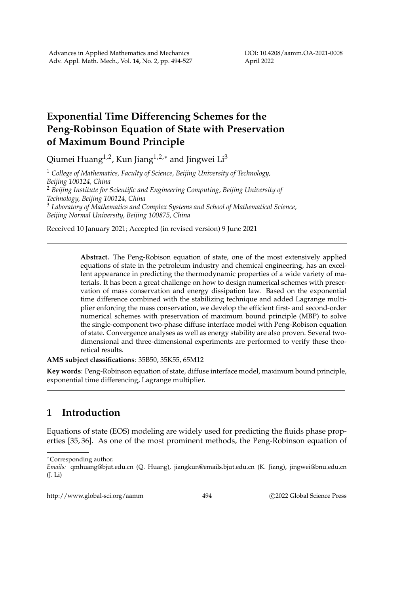## **Exponential Time Differencing Schemes for the Peng-Robinson Equation of State with Preservation of Maximum Bound Principle**

Qiumei Huang<sup>1,2</sup>, Kun Jiang<sup>1,2,∗</sup> and Jingwei Li<sup>3</sup>

<sup>1</sup> *College of Mathematics, Faculty of Science, Beijing University of Technology, Beijing 100124, China* <sup>2</sup> *Beijing Institute for Scientific and Engineering Computing, Beijing University of Technology, Beijing 100124, China* <sup>3</sup> *Laboratory of Mathematics and Complex Systems and School of Mathematical Science, Beijing Normal University, Beijing 100875, China*

Received 10 January 2021; Accepted (in revised version) 9 June 2021

**Abstract.** The Peng-Robison equation of state, one of the most extensively applied equations of state in the petroleum industry and chemical engineering, has an excellent appearance in predicting the thermodynamic properties of a wide variety of materials. It has been a great challenge on how to design numerical schemes with preservation of mass conservation and energy dissipation law. Based on the exponential time difference combined with the stabilizing technique and added Lagrange multiplier enforcing the mass conservation, we develop the efficient first- and second-order numerical schemes with preservation of maximum bound principle (MBP) to solve the single-component two-phase diffuse interface model with Peng-Robison equation of state. Convergence analyses as well as energy stability are also proven. Several twodimensional and three-dimensional experiments are performed to verify these theoretical results.

**AMS subject classifications**: 35B50, 35K55, 65M12

**Key words**: Peng-Robinson equation of state, diffuse interface model, maximum bound principle, exponential time differencing, Lagrange multiplier.

## **1 Introduction**

Equations of state (EOS) modeling are widely used for predicting the fluids phase properties [35, 36]. As one of the most prominent methods, the Peng-Robinson equation of

<sup>∗</sup>Corresponding author.

http://www.global-sci.org/aamm 494 
c 2022 Global Science Press

*Emails:* qmhuang@bjut.edu.cn (Q. Huang), jiangkun@emails.bjut.edu.cn (K. Jiang), jingwei@bnu.edu.cn (J. Li)